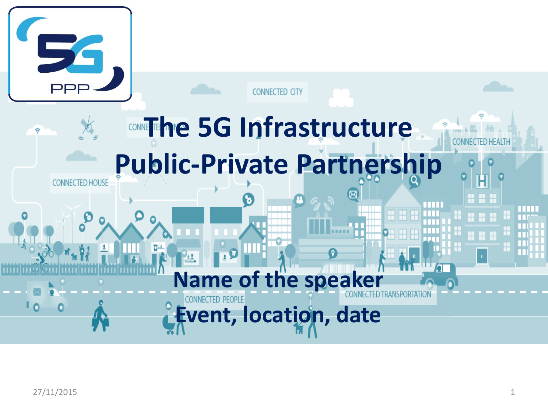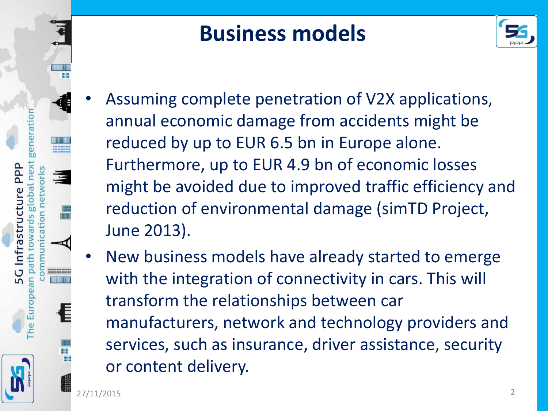



- Assuming complete penetration of V2X applications, annual economic damage from accidents might be reduced by up to EUR 6.5 bn in Europe alone. Furthermore, up to EUR 4.9 bn of economic losses might be avoided due to improved traffic efficiency and reduction of environmental damage (simTD Project, June 2013).
- New business models have already started to emerge with the integration of connectivity in cars. This will transform the relationships between car manufacturers, network and technology providers and services, such as insurance, driver assistance, security or content delivery.

nfrastru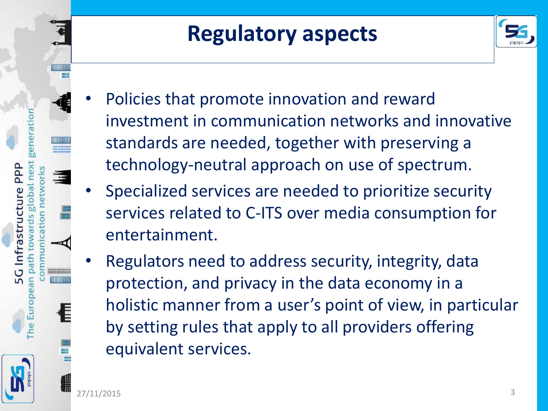



- Policies that promote innovation and reward investment in communication networks and innovative standards are needed, together with preserving a technology-neutral approach on use of spectrum.
- Specialized services are needed to prioritize security services related to C-ITS over media consumption for entertainment.
- Regulators need to address security, integrity, data protection, and privacy in the data economy in a holistic manner from a user's point of view, in particular by setting rules that apply to all providers offering equivalent services.

ntrastr